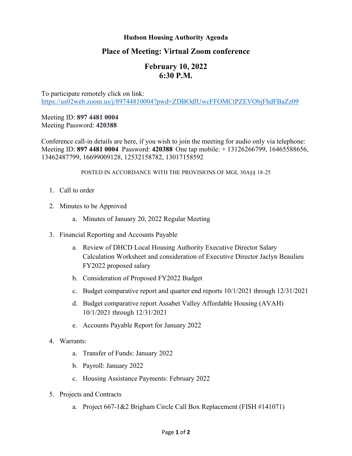## **Hudson Housing Authority Agenda**

## **Place of Meeting: Virtual Zoom conference**

## **February 10, 2022 6:30 P.M.**

To participate remotely click on link: <https://us02web.zoom.us/j/89744810004?pwd=ZDBOdlUwcFFOMCtPZEVObjFhdFBaZz09>

Meeting ID: **897 4481 0004** Meeting Password: **420388**

Conference call-in details are here, if you wish to join the meeting for audio only via telephone: Meeting ID: **897 4481 0004** Password: **420388** One tap mobile: + 13126266799, 16465588656, 13462487799, 16699009128, 12532158782, 13017158592

## POSTED IN ACCORDANCE WITH THE PROVISIONS OF MGL 30A§§ 18-25

- 1. Call to order
- 2. Minutes to be Approved
	- a. Minutes of January 20, 2022 Regular Meeting
- 3. Financial Reporting and Accounts Payable
	- a. Review of DHCD Local Housing Authority Executive Director Salary Calculation Worksheet and consideration of Executive Director Jaclyn Beaulieu FY2022 proposed salary
	- b. Consideration of Proposed FY2022 Budget
	- c. Budget comparative report and quarter end reports 10/1/2021 through 12/31/2021
	- d. Budget comparative report Assabet Valley Affordable Housing (AVAH) 10/1/2021 through 12/31/2021
	- e. Accounts Payable Report for January 2022
- 4. Warrants:
	- a. Transfer of Funds: January 2022
	- b. Payroll: January 2022
	- c. Housing Assistance Payments: February 2022
- 5. Projects and Contracts
	- a. Project 667-1&2 Brigham Circle Call Box Replacement (FISH #141071)